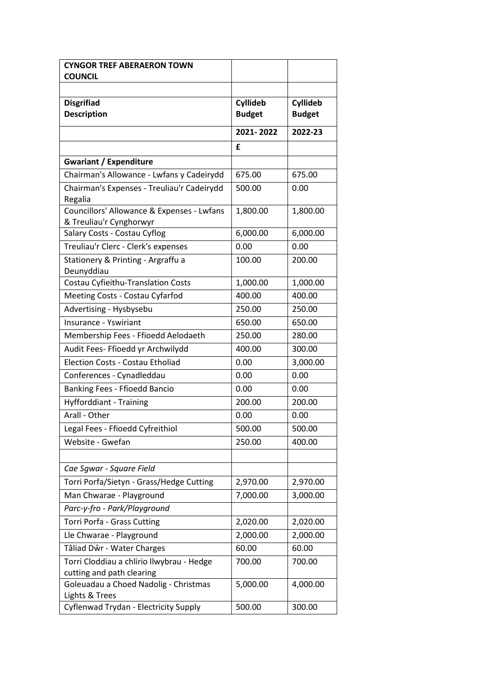| <b>CYNGOR TREF ABERAERON TOWN</b>                                      |               |                 |
|------------------------------------------------------------------------|---------------|-----------------|
| <b>COUNCIL</b>                                                         |               |                 |
|                                                                        |               |                 |
| <b>Disgrifiad</b>                                                      | Cyllideb      | <b>Cyllideb</b> |
| <b>Description</b>                                                     | <b>Budget</b> | <b>Budget</b>   |
|                                                                        | 2021-2022     | 2022-23         |
|                                                                        | £             |                 |
| <b>Gwariant / Expenditure</b>                                          |               |                 |
| Chairman's Allowance - Lwfans y Cadeirydd                              | 675.00        | 675.00          |
| Chairman's Expenses - Treuliau'r Cadeirydd<br>Regalia                  | 500.00        | 0.00            |
| Councillors' Allowance & Expenses - Lwfans<br>& Treuliau'r Cynghorwyr  | 1,800.00      | 1,800.00        |
| Salary Costs - Costau Cyflog                                           | 6,000.00      | 6,000.00        |
| Treuliau'r Clerc - Clerk's expenses                                    | 0.00          | 0.00            |
| Stationery & Printing - Argraffu a<br>Deunyddiau                       | 100.00        | 200.00          |
| Costau Cyfieithu-Translation Costs                                     | 1,000.00      | 1,000.00        |
| Meeting Costs - Costau Cyfarfod                                        | 400.00        | 400.00          |
| Advertising - Hysbysebu                                                | 250.00        | 250.00          |
| Insurance - Yswiriant                                                  | 650.00        | 650.00          |
| Membership Fees - Ffioedd Aelodaeth                                    | 250.00        | 280.00          |
| Audit Fees- Ffioedd yr Archwilydd                                      | 400.00        | 300.00          |
| <b>Election Costs - Costau Etholiad</b>                                | 0.00          | 3,000.00        |
| Conferences - Cynadleddau                                              | 0.00          | 0.00            |
| Banking Fees - Ffioedd Bancio                                          | 0.00          | 0.00            |
| Hyfforddiant - Training                                                | 200.00        | 200.00          |
| Arall - Other                                                          | 0.00          | 0.00            |
| Legal Fees - Ffioedd Cyfreithiol                                       | 500.00        | 500.00          |
| Website - Gwefan                                                       | 250.00        | 400.00          |
|                                                                        |               |                 |
| Cae Sgwar - Square Field                                               |               |                 |
| Torri Porfa/Sietyn - Grass/Hedge Cutting                               | 2,970.00      | 2,970.00        |
| Man Chwarae - Playground                                               | 7,000.00      | 3,000.00        |
| Parc-y-fro - Park/Playground                                           |               |                 |
| Torri Porfa - Grass Cutting                                            | 2,020.00      | 2,020.00        |
| Lle Chwarae - Playground                                               | 2,000.00      | 2,000.00        |
| Tâliad Dŵr - Water Charges                                             | 60.00         | 60.00           |
| Torri Cloddiau a chlirio llwybrau - Hedge<br>cutting and path clearing | 700.00        | 700.00          |
| Goleuadau a Choed Nadolig - Christmas                                  | 5,000.00      | 4,000.00        |
| Lights & Trees                                                         |               |                 |
| Cyflenwad Trydan - Electricity Supply                                  | 500.00        | 300.00          |